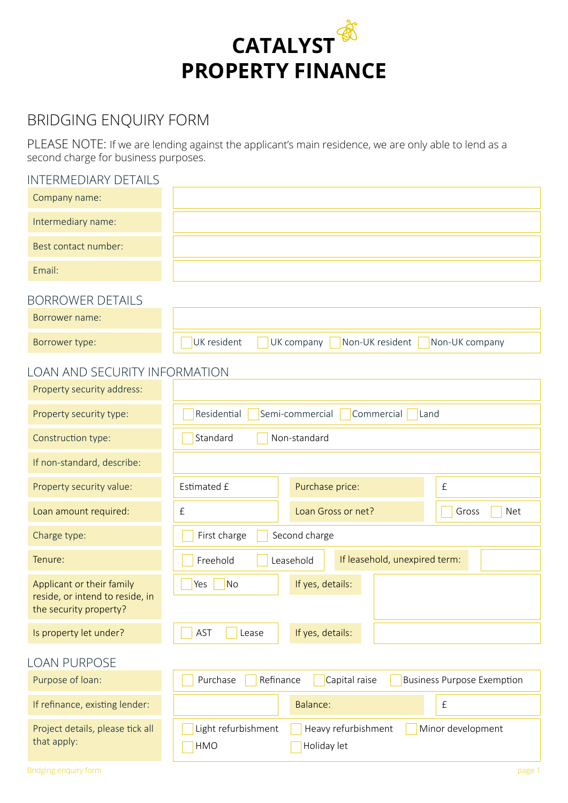

# BRIDGING ENQUIRY FORM

PLEASE NOTE: If we are lending against the applicant's main residence, we are only able to lend as a second charge for business purposes.

## INTERMEDIARY DETAILS

| Company name:                                                                          |                                                                                       |  |
|----------------------------------------------------------------------------------------|---------------------------------------------------------------------------------------|--|
| Intermediary name:                                                                     |                                                                                       |  |
| Best contact number:                                                                   |                                                                                       |  |
| Email:                                                                                 |                                                                                       |  |
| <b>BORROWER DETAILS</b>                                                                |                                                                                       |  |
| Borrower name:                                                                         |                                                                                       |  |
| Borrower type:                                                                         | UK resident<br>Non-UK resident<br>Non-UK company<br>UK company                        |  |
| <b>LOAN AND SECURITY INFORMATION</b>                                                   |                                                                                       |  |
| Property security address:                                                             |                                                                                       |  |
| Property security type:                                                                | Semi-commercial<br>Commercial<br>Residential<br>Land                                  |  |
| Construction type:                                                                     | Standard<br>Non-standard                                                              |  |
| If non-standard, describe:                                                             |                                                                                       |  |
| Property security value:                                                               | Estimated £<br>Purchase price:<br>$\pounds$                                           |  |
| Loan amount required:                                                                  | $\pounds$<br>Loan Gross or net?<br>Gross<br><b>Net</b>                                |  |
| Charge type:                                                                           | Second charge<br>First charge                                                         |  |
| Tenure:                                                                                | If leasehold, unexpired term:<br>Freehold<br>Leasehold                                |  |
| Applicant or their family<br>reside, or intend to reside, in<br>the security property? | If yes, details:<br>No<br>Yes                                                         |  |
| Is property let under?                                                                 | If yes, details:<br>AST<br>Lease                                                      |  |
| <b>LOAN PURPOSE</b>                                                                    |                                                                                       |  |
| Purpose of loan:                                                                       | Purchase<br>Refinance<br>Capital raise<br><b>Business Purpose Exemption</b>           |  |
| If refinance, existing lender:                                                         | Balance:<br>$\pounds$                                                                 |  |
| Project details, please tick all<br>that apply:                                        | Light refurbishment<br>Minor development<br>Heavy refurbishment<br>HMO<br>Holiday let |  |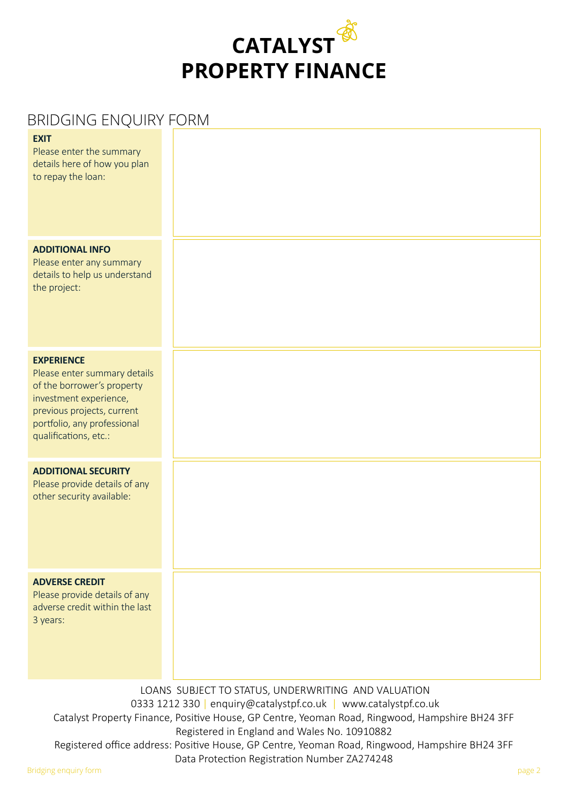

# BRIDGING ENQUIRY FORM

| <b>EXIT</b><br>Please enter the summary<br>details here of how you plan<br>to repay the loan:                                                                                                   |                                                                                                                                                                                                                                                                           |
|-------------------------------------------------------------------------------------------------------------------------------------------------------------------------------------------------|---------------------------------------------------------------------------------------------------------------------------------------------------------------------------------------------------------------------------------------------------------------------------|
| <b>ADDITIONAL INFO</b><br>Please enter any summary<br>details to help us understand<br>the project:                                                                                             |                                                                                                                                                                                                                                                                           |
| <b>EXPERIENCE</b><br>Please enter summary details<br>of the borrower's property<br>investment experience,<br>previous projects, current<br>portfolio, any professional<br>qualifications, etc.: |                                                                                                                                                                                                                                                                           |
| <b>ADDITIONAL SECURITY</b><br>Please provide details of any<br>other security available:                                                                                                        |                                                                                                                                                                                                                                                                           |
| <b>ADVERSE CREDIT</b><br>Please provide details of any<br>adverse credit within the last<br>3 years:                                                                                            |                                                                                                                                                                                                                                                                           |
|                                                                                                                                                                                                 | LOANS SUBJECT TO STATUS, UNDERWRITING AND VALUATION<br>0333 1212 330   enquiry@catalystpf.co.uk   www.catalystpf.co.uk<br>Catalyst Property Finance, Positive House, GP Centre, Yeoman Road, Ringwood, Hampshire BH24 3FF<br>Registered in England and Wales No. 10910882 |

Registered office address: Positive House, GP Centre, Yeoman Road, Ringwood, Hampshire BH24 3FF Data Protection Registration Number ZA274248